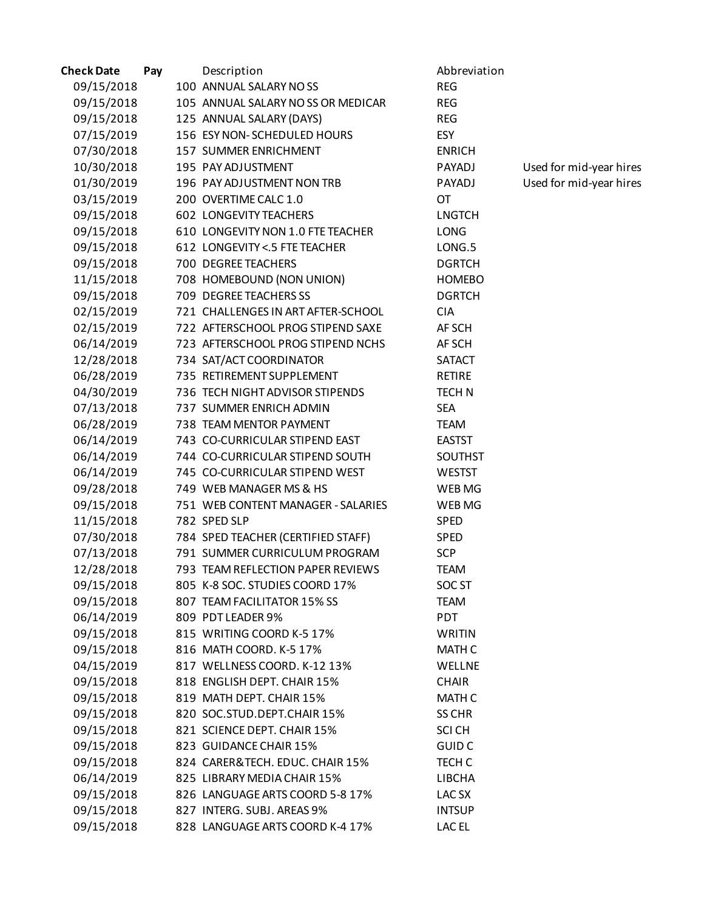| <b>Check Date</b> | Pay | Description                        | Abbreviation      |                         |
|-------------------|-----|------------------------------------|-------------------|-------------------------|
| 09/15/2018        |     | 100 ANNUAL SALARY NOSS             | <b>REG</b>        |                         |
| 09/15/2018        |     | 105 ANNUAL SALARY NO SS OR MEDICAR | <b>REG</b>        |                         |
| 09/15/2018        |     | 125 ANNUAL SALARY (DAYS)           | <b>REG</b>        |                         |
| 07/15/2019        |     | 156 ESY NON-SCHEDULED HOURS        | ESY               |                         |
| 07/30/2018        |     | 157 SUMMER ENRICHMENT              | <b>ENRICH</b>     |                         |
| 10/30/2018        |     | 195 PAY ADJUSTMENT                 | PAYADJ            | Used for mid-year hires |
| 01/30/2019        |     | 196 PAY ADJUSTMENT NON TRB         | PAYADJ            | Used for mid-year hires |
| 03/15/2019        |     | 200 OVERTIME CALC 1.0              | <b>OT</b>         |                         |
| 09/15/2018        |     | 602 LONGEVITY TEACHERS             | <b>LNGTCH</b>     |                         |
| 09/15/2018        |     | 610 LONGEVITY NON 1.0 FTE TEACHER  | LONG              |                         |
| 09/15/2018        |     | 612 LONGEVITY <. 5 FTE TEACHER     | LONG.5            |                         |
| 09/15/2018        |     | 700 DEGREE TEACHERS                | <b>DGRTCH</b>     |                         |
| 11/15/2018        |     | 708 HOMEBOUND (NON UNION)          | <b>HOMEBO</b>     |                         |
| 09/15/2018        |     | 709 DEGREE TEACHERS SS             | <b>DGRTCH</b>     |                         |
| 02/15/2019        |     | 721 CHALLENGES IN ART AFTER-SCHOOL | <b>CIA</b>        |                         |
| 02/15/2019        |     | 722 AFTERSCHOOL PROG STIPEND SAXE  | AF SCH            |                         |
| 06/14/2019        |     | 723 AFTERSCHOOL PROG STIPEND NCHS  | AF SCH            |                         |
| 12/28/2018        |     | 734 SAT/ACT COORDINATOR            | <b>SATACT</b>     |                         |
| 06/28/2019        |     | 735 RETIREMENT SUPPLEMENT          | <b>RETIRE</b>     |                         |
| 04/30/2019        |     | 736 TECH NIGHT ADVISOR STIPENDS    | <b>TECHN</b>      |                         |
| 07/13/2018        |     | 737 SUMMER ENRICH ADMIN            | <b>SEA</b>        |                         |
| 06/28/2019        |     | 738 TEAM MENTOR PAYMENT            | <b>TEAM</b>       |                         |
| 06/14/2019        |     | 743 CO-CURRICULAR STIPEND EAST     | <b>EASTST</b>     |                         |
| 06/14/2019        |     | 744 CO-CURRICULAR STIPEND SOUTH    | <b>SOUTHST</b>    |                         |
| 06/14/2019        |     | 745 CO-CURRICULAR STIPEND WEST     | <b>WESTST</b>     |                         |
| 09/28/2018        |     | 749 WEB MANAGER MS & HS            | WEB MG            |                         |
| 09/15/2018        |     | 751 WEB CONTENT MANAGER - SALARIES | WEB MG            |                         |
| 11/15/2018        |     | 782 SPED SLP                       | <b>SPED</b>       |                         |
| 07/30/2018        |     | 784 SPED TEACHER (CERTIFIED STAFF) | SPED              |                         |
| 07/13/2018        |     | 791 SUMMER CURRICULUM PROGRAM      | <b>SCP</b>        |                         |
| 12/28/2018        |     | 793 TEAM REFLECTION PAPER REVIEWS  | <b>TEAM</b>       |                         |
| 09/15/2018        |     | 805 K-8 SOC. STUDIES COORD 17%     | SOC <sub>ST</sub> |                         |
| 09/15/2018        |     | 807 TEAM FACILITATOR 15% SS        | <b>TEAM</b>       |                         |
| 06/14/2019        |     | 809 PDT LEADER 9%                  | PDT               |                         |
| 09/15/2018        |     | 815 WRITING COORD K-5 17%          | <b>WRITIN</b>     |                         |
| 09/15/2018        |     | 816 MATH COORD. K-5 17%            | <b>MATH C</b>     |                         |
| 04/15/2019        |     | 817 WELLNESS COORD. K-12 13%       | WELLNE            |                         |
| 09/15/2018        |     | 818 ENGLISH DEPT. CHAIR 15%        | <b>CHAIR</b>      |                         |
| 09/15/2018        |     | 819 MATH DEPT. CHAIR 15%           | <b>MATH C</b>     |                         |
| 09/15/2018        |     | 820 SOC.STUD.DEPT.CHAIR 15%        | <b>SS CHR</b>     |                         |
| 09/15/2018        |     | 821 SCIENCE DEPT. CHAIR 15%        | <b>SCI CH</b>     |                         |
| 09/15/2018        |     | 823 GUIDANCE CHAIR 15%             | <b>GUID C</b>     |                         |
| 09/15/2018        |     | 824 CARER&TECH. EDUC. CHAIR 15%    | TECH C            |                         |
| 06/14/2019        |     | 825 LIBRARY MEDIA CHAIR 15%        | LIBCHA            |                         |
| 09/15/2018        |     | 826 LANGUAGE ARTS COORD 5-8 17%    | LAC <sub>SX</sub> |                         |
| 09/15/2018        |     | 827 INTERG. SUBJ. AREAS 9%         | <b>INTSUP</b>     |                         |
| 09/15/2018        |     | 828 LANGUAGE ARTS COORD K-4 17%    | LAC EL            |                         |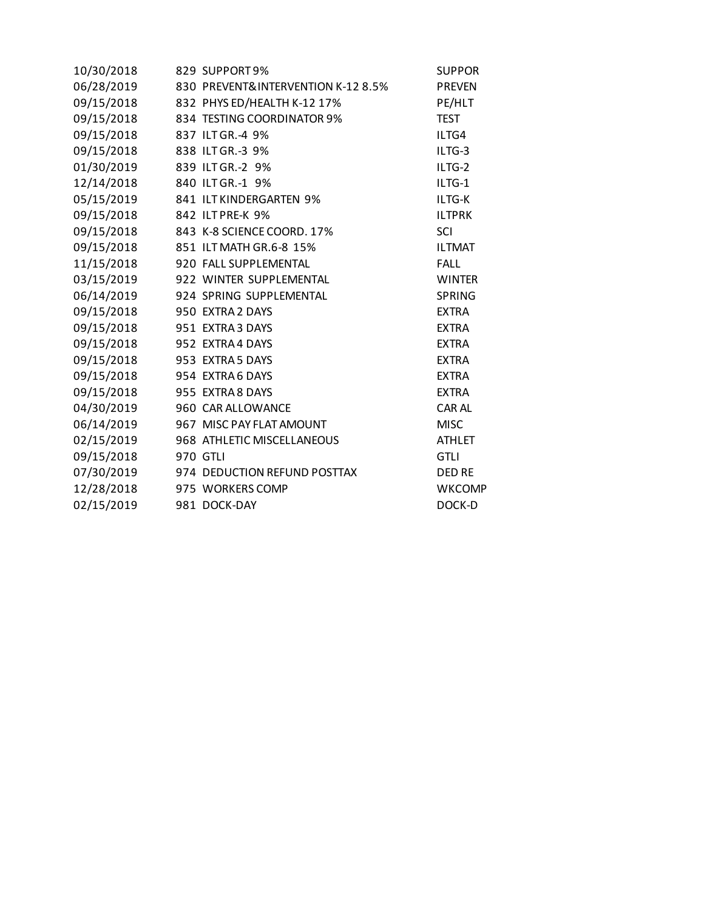| 10/30/2018 | 829 SUPPORT 9%                     | <b>SUPPOR</b> |
|------------|------------------------------------|---------------|
| 06/28/2019 | 830 PREVENT&INTERVENTION K-12 8.5% | <b>PREVEN</b> |
| 09/15/2018 | 832 PHYS ED/HEALTH K-12 17%        | PE/HLT        |
| 09/15/2018 | 834 TESTING COORDINATOR 9%         | <b>TEST</b>   |
| 09/15/2018 | 837 ILT GR.-4 9%                   | ILTG4         |
| 09/15/2018 | 838 ILT GR.-3 9%                   | ILTG-3        |
| 01/30/2019 | 839 ILT GR.-2 9%                   | ILTG-2        |
| 12/14/2018 | 840 ILT GR.-1 9%                   | ILTG-1        |
| 05/15/2019 | 841 ILT KINDERGARTEN 9%            | ILTG-K        |
| 09/15/2018 | 842 ILTPRE-K 9%                    | <b>ILTPRK</b> |
| 09/15/2018 | 843 K-8 SCIENCE COORD. 17%         | SCI           |
| 09/15/2018 | 851 ILT MATH GR.6-8 15%            | <b>ILTMAT</b> |
| 11/15/2018 | 920 FALL SUPPLEMENTAL              | <b>FALL</b>   |
| 03/15/2019 | 922 WINTER SUPPLEMENTAL            | <b>WINTER</b> |
| 06/14/2019 | 924 SPRING SUPPLEMENTAL            | <b>SPRING</b> |
| 09/15/2018 | 950 EXTRA 2 DAYS                   | <b>EXTRA</b>  |
| 09/15/2018 | 951 EXTRA 3 DAYS                   | <b>EXTRA</b>  |
| 09/15/2018 | 952 EXTRA 4 DAYS                   | <b>EXTRA</b>  |
| 09/15/2018 | 953 EXTRA 5 DAYS                   | <b>EXTRA</b>  |
| 09/15/2018 | 954 EXTRA 6 DAYS                   | <b>EXTRA</b>  |
| 09/15/2018 | 955 EXTRA 8 DAYS                   | <b>EXTRA</b>  |
| 04/30/2019 | 960 CAR ALLOWANCE                  | <b>CAR AL</b> |
| 06/14/2019 | 967 MISC PAY FLAT AMOUNT           | <b>MISC</b>   |
| 02/15/2019 | 968 ATHLETIC MISCELLANEOUS         | <b>ATHLET</b> |
| 09/15/2018 | 970 GTLI                           | <b>GTLI</b>   |
| 07/30/2019 | 974 DEDUCTION REFUND POSTTAX       | <b>DED RE</b> |
| 12/28/2018 | 975 WORKERS COMP                   | <b>WKCOMP</b> |
| 02/15/2019 | 981 DOCK-DAY                       | DOCK-D        |